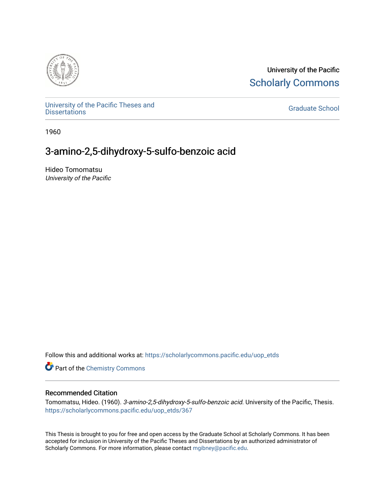

University of the Pacific **Scholarly Commons** 

[University of the Pacific Theses and](https://scholarlycommons.pacific.edu/uop_etds)  oniversity of the Pacific Theses and the control of the Control of [Graduate School](https://scholarlycommons.pacific.edu/graduate-school) Dissertations

1960

# 3-amino-2,5-dihydroxy-5-sulfo-benzoic acid

Hideo Tomomatsu University of the Pacific

Follow this and additional works at: [https://scholarlycommons.pacific.edu/uop\\_etds](https://scholarlycommons.pacific.edu/uop_etds?utm_source=scholarlycommons.pacific.edu%2Fuop_etds%2F367&utm_medium=PDF&utm_campaign=PDFCoverPages) 

**Part of the Chemistry Commons** 

### Recommended Citation

Tomomatsu, Hideo. (1960). 3-amino-2,5-dihydroxy-5-sulfo-benzoic acid. University of the Pacific, Thesis. [https://scholarlycommons.pacific.edu/uop\\_etds/367](https://scholarlycommons.pacific.edu/uop_etds/367?utm_source=scholarlycommons.pacific.edu%2Fuop_etds%2F367&utm_medium=PDF&utm_campaign=PDFCoverPages)

This Thesis is brought to you for free and open access by the Graduate School at Scholarly Commons. It has been accepted for inclusion in University of the Pacific Theses and Dissertations by an authorized administrator of Scholarly Commons. For more information, please contact [mgibney@pacific.edu.](mailto:mgibney@pacific.edu)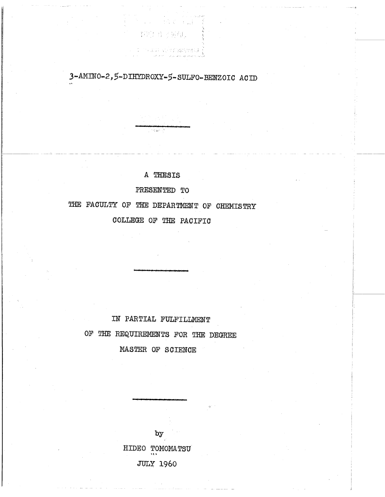3-AMINO-2,5-DIHYDROXY-5-SULFO-BENZOIC ACID

1. 1. 计传输 计调整器

- PROF 4 3 9844. - 1

The and also changed in {

A THESIS

 $\gamma \geq 0$  as  $\gamma \geq 0$ 

PRESENTED TO

THE FACULTY OF THE DEPARTMENT OF CHEMISTRY

COLLEGE OF THE PACIFIC

IN PARTIAL FULFILLMENT OF THE REQUIREMENTS FOR THE DEGREE MASTER OF SCIENCE

> $b\bar{y}$ HIDEO TOMOMATSU **JULY 1960**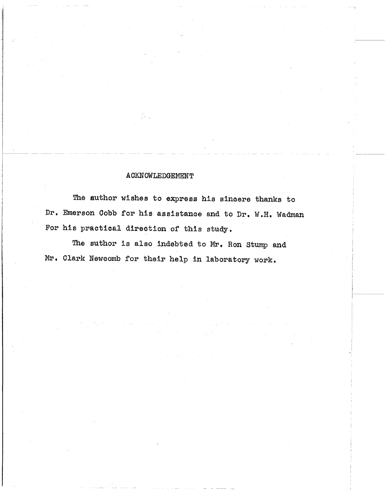## ACKNOWLEDGEMENT

 $\sqrt{2} \, \epsilon_{\rm max}$ 

The author wishes to express his sincere thanks to Dr. Emerson Cobb for his assistance and to Dr. W.H. Wadman For his practical direction of this study.

> i ļ.

The author is also indebted to Mr. Ron Stump and Mr. Clark Newcomb for their help in laboratory work.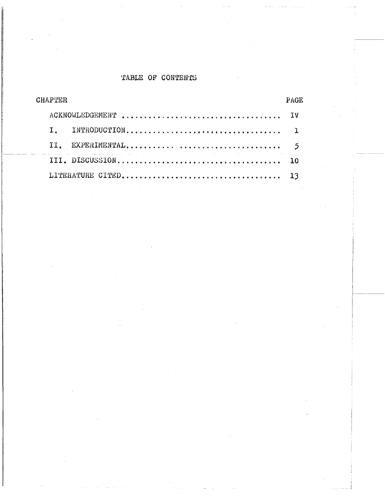## TABLE OF CONTENTS

| CHAPTER                                                                                                        |  |
|----------------------------------------------------------------------------------------------------------------|--|
|                                                                                                                |  |
|                                                                                                                |  |
|                                                                                                                |  |
| a sa mga kalawang pangalang na kalawang sa kalawang sa mga kalawang ng mga kalawang nagsigitang ng mga kalawan |  |
|                                                                                                                |  |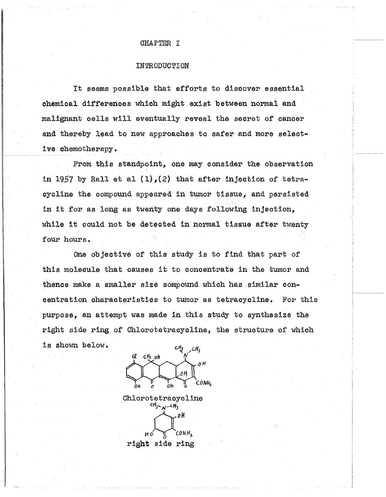### CHAPTER I

#### **INTRODUCTION**

It seems possible that efforts to discover essential chemical differences which might exist between normal and malignant cells will eventually reveal the secret of cancer and thereby lead to new approaches to safer and more selective chemotherapy.

From this standpoint, one may consider the observation in 1957 by Rall et al  $(1)$ .  $(2)$  that after injection of tetracycline the compound appeared in tumor tissue, and persisted in it for as long as twenty one days following injection. while it could not be detected in normal tissue after twenty four hours.

One objective of this study is to find that part of this molecule that causes it to concentrate in the tumor and thence make a smaller size sompound which has similar concentration characteristics to tumor as tetracycline. For this purpose, an attempt was made in this study to synthesize the right side ring of Chlorotetracycline, the structure of which is shown below.



Chlorotetracycline  $cH_3$   $\sim$   $\mu$   $cH_3$ oΗ CONH, нó

right side ring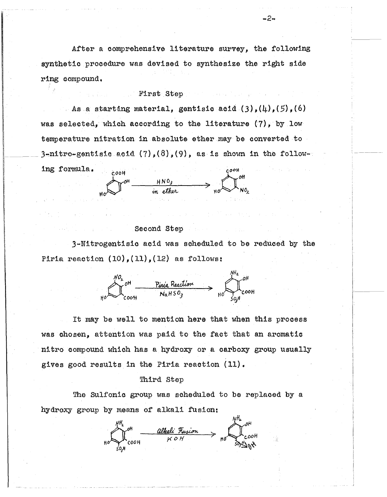After a comprehensive literature survey, the following synthetic procedure was devised to synthesize the right side ring compound.

### First Step

As a starting material, gentisic acid  $(3)$ ,  $(4)$ ,  $(5)$ ,  $(6)$ was selected, which according to the literature (7), by low temperature nitration in absolute ether may be converted to 3-nitro-gentisic acid  $(7)$ ,  $(8)$ ,  $(9)$ , as is shown in the follow-

ing formula.  $\begin{CD} \begin{array}{ccc}\n\text{cooth} & & \text{HNO}_3 \\
\text{in either} & & \text{HNO}_2\n\end{array}\n\end{CD}$  $COOH$ 

### Second Step

3-Nitrogentisic acid was scheduled to be reduced by the Piria reaction  $(10)$ ,  $(11)$ ,  $(12)$  as follows:

 $\frac{NQ_2}{NQ}$ <sup>OH</sup>  $\frac{Pin(a \text{ Reaction}}{NaH5Q_2} \rightarrow \text{HO}$ 

It may be well to mention here that when this process was chosen, attention was paid to the fact that an aromatic nitro compound which has a hydroxy or a carboxy group usually gives good results in the Piria reaction (11).

#### Third Step

The Sulfonic group was scheduled to be replaced by a hydroxy group by means of alkali fusion:

 $\mu B$ <br> $\mu D$  cool alkeli Fusion  $\rightarrow$   $\mu \rightarrow 0$ <br> $\rightarrow$  cool

-2-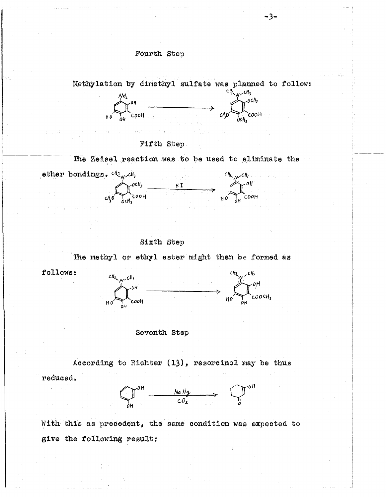

Sixth Step

The methyl or ethyl ester might then be formed as



Seventh Step

According to Richter (13), resorcinol may be thus reduced.

 $Q^{OH}$   $\longrightarrow$   $\frac{NaHg}{CO_2}$   $Q^{OH}$ 

With this as precedent, the same condition was expected to give the following result:

- 3−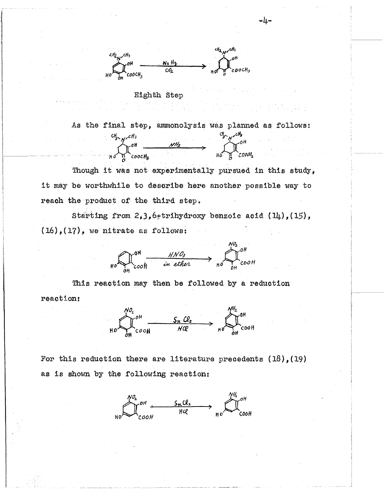

## Eighth Step

As the final step, ammonolysis was planned as follows:  $\begin{array}{ccccc}\n\text{Cl}_{3}\rightarrow\text{C}^{CH}_{3} & & & & \\
\text{Cl}_{3}\rightarrow\text{C}^{CH}_{3} & & & \\
\text{H}_{0}\rightarrow\text{C}^{CH}_{3} & & & \\
\end{array}$ 

Though it was not experimentally pursued in this study, it may be worthwhile to describe here another possible way to reach the product of the third step.

Starting from  $2, 3, 6$ +trihydroxy benzoic acid (14), (15),  $(16)$ ,  $(17)$ , we nitrate as follows:



This reaction may then be followed by a reduction reaction:



For this reduction there are literature precedents  $(18)$ ,  $(19)$ as is shown by the following reaction:



سلہ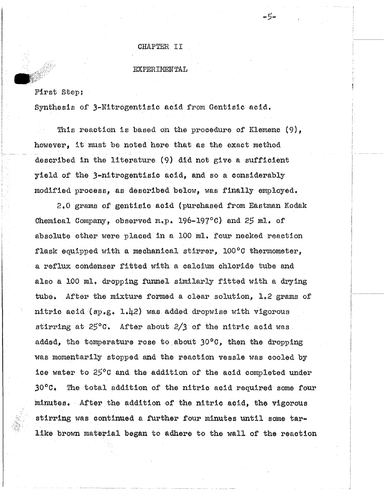### CHAPTER II

خواجد

#### $EXPERIMEN TAL$

First Step;

 $r_{\rm i}$  .

Synthesis of 3-Nitrogentisic acid from Gentisic acid.

This reaction is based on the procedure of Klemenc  $(9)$ , however, it must be noted here that as the exact method described in the literature (9) did not give a sufficient yield of the 3-nitrogentisic acid, and so a considerably modified process, as described below, was finally employed.

2.0 grams of gentisic acid (purchased from Eastman Kodak Chemical Company, observed  $m.p.$  196-197°C) and  $25$  ml. of absolute ether were placed in a 100 ml. four necked reaction flask equipped with a mechanical stirrer,  $100^{\circ}$ C thermometer, a reflux condenser fitted with a calcium chloride tube and also a 100 ml. dropping funnel similarly fitted with a drying tube. After the mixture formed a clear solution. 1.2 grams of nitric acid (sp.g.  $1.42$ ) was added dropwise with vigorous stirring at  $25^{\circ}$ C. After about  $2/3$  of the nitric acid was. added, the temperature rose to about  $30^{\circ}$ C, then the dropping was momentarily stopped and the reaction vessle was cooled by ice water to 25°C and the addition of the acid completed under 30°C. The total addition of the nitric acid required some four minutes. After the addition of the nitric acid, the vigorous stirring was continued a further four minutes until some tarlike brown material began to adhere to the wall of the reaction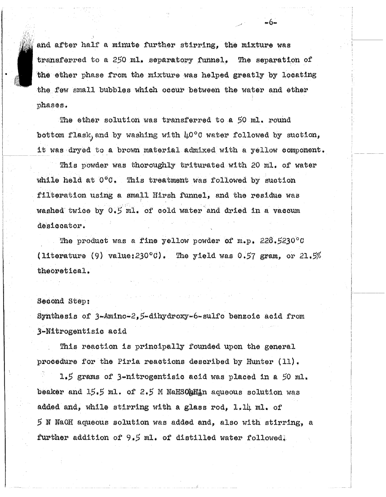and after half a minute further stirring. the mixture was transferred to a 250 ml. separatory funnel. The separation of the ether phase from the mixture was helped greatly by locating the few small bubbles which occur between the water and ether phases.

⊷6⊶

The ether solution was transferred to a 50 ml. round bottom flask, and by washing with 40°C water followed by suction, it was dryed to a brown material admixed with a yellow component.

This powder was thoroughly triturated with 20 ml. of water while held at 0°C. This treatment was followed by suction filteration using a small Hirsh funnel, and the residue was washed twice by 0.5 ml. of cold water and dried in a vaccum desiccator.

The product was a fine yellow powder of  $m_{*}p_{*}$ , 228.5230°C (literature (9) value:  $230^{\circ}0$ . The yield was 0.57 gram, or 21.5% theoretical.

### Second Step:

Synthesis of 3-Amino-2,5-dihydroxy-6-sulfo benzoic acid from 3-Nitrogentisic acid

This reaction is principally founded upon the general procedure for the Piria reactions described by Hunter (11).

1.5 grams of 3-nitrogentisic acid was placed in a 50 ml. beaker and 15.5 ml. of 2.5 M NaHSOaHin aqueous solution was added and, while stirring with a glass rod, 1.14 ml. of 5 N NaOH aqueous solution was added and, also with stirring, a further addition of 9.5 ml. of distilled water followedl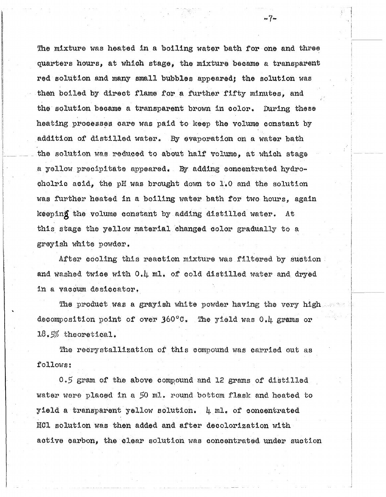The mixture was heated in a boiling water bath for one and three quarters hours, at which stage, the mixture became a transparent red solution and many small bubbles appeared; the solution was then boiled by direct flame for a further fifty minutes, and the solution became a transparent brown in color. During these heating processes care was paid to keep the volume constant by addition of distilled water. By evaporation on a water bath the solution was reduced to about half volume, at which stage a yellow precipitate appeared. By adding concentrated hydrocholric acid, the pH was brought down to 1.0 and the solution was further heated in a boiling water bath for two hours, again keeping the volume constant by adding distilled water. At this stage the yellow material changed color gradually to a greylsh white powder.

 $-7-$ 

After cooling this reaction mixture was filtered by suction and washed twice with 0.4 ml. of cold distilled water and dryed in a vaccum desiccator.

The product was a grayish white powder having the very high decomposition point of over  $360^{\circ}$ . The yield was 0.4 grams or  $18.5\%$  theoretical.

The recrystallization of this compound was carried out as follows:

0.5 gram of the above compound and 12 grams of distilled water were placed in a 50 ml. round bottom flask and heated to yield a transparent yellow solution.  $\mu$  ml. of concentrated HCl solution was then added and after decolorization with active carbon, the clear solution was concentrated under suction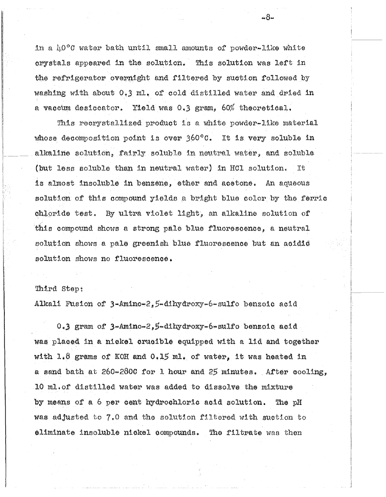in a 10°C water bath until small amounts of powder-like white crystals appeared in the solution. This solution was left in the refrigerator overnight and filtered by suction followed by washing with about 0.3 ml. of cold distilled water and dried in a vaccum desiccator. Yield was 0.3 gram, 60% theoretical.

This recrystallized product is a white powder-like material whose decomposition point is over  $360^{\circ}$ C. It is very soluble in alkaline solution, fairly soluble in neutral water, and soluble (but less soluble than in neutral water) in HCl solution. Tt. is almost insoluble in benzene, ether and acetone. An aqueous solution of this compound yields a bright blue color by the ferric chloride test. By ultra violet light, an alkaline solution of this compound shows a strong pale blue fluorescence, a neutral solution shows a pale greenish blue fluorescence but an acidic solution shows no fluorescence.

### Third Step:

Alkali Fusion of 3-Amino-2, 5-dihydroxy-6-sulfo benzoic acid

0.3 gram of 3-Amino-2,5-dihydroxy-6-sulfo benzoic acid was placed in a nickel crucible equipped with a 11d and together with  $1.8$  grams of KOH and  $0.15$  ml, of water, it was heated in a sand bath at 260-2800 for 1 hour and 25 minutes. After cooling. 10 ml.of distilled water was added to dissolve the mixture by means of a 6 per cent hydrochloric acid solution. The pH was adjusted to 7.0 and the solution filtered with suction to eliminate insoluble nickel compounds. The filtrate was then

 $-8-$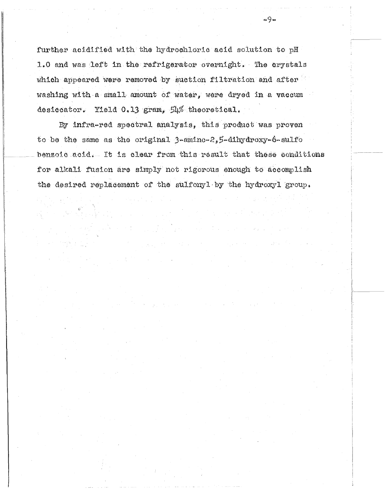further acidified with the hydrochloric acid solution to pH 1.0 and was left in the refrigerator overnight. The crystals which appeared were removed by suction filtration and after washing with a small amount of water, were dryed in a vaccum desiccator. Yield 0.13 gram, 54% theoretical.

 $-9 -$ 

By infra-red spectral analysis, this product was proven to be the same as the original  $3$ -amino- $2,5$ -dihydroxy-6-sulfo benzoic acid. It is clear from this result that these conditions for alkali fusion are simply not rigorous enough to accomplish the desired replacement of the sulfonyl by the hydroxyl group.

 $\label{eq:2} \mathcal{L}_{\mathcal{A}}(\mathbf{y}) = \mathcal{L}_{\mathcal{A}}(\mathbf{y}) = \mathcal{L}_{\mathcal{A}}(\mathbf{y})$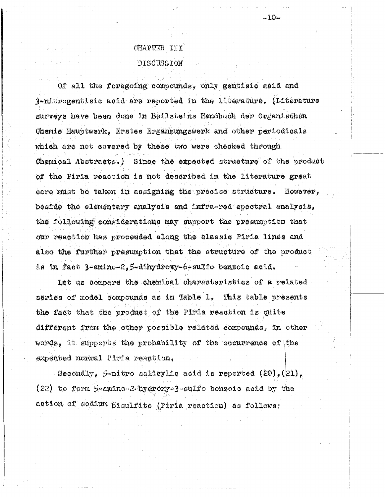# CHAPTER III DISCUSSION

Of all the foregoing compounds, only gentisic acid and 3-nitrogentisic acid are reported in the literature. (Literature surveys have been done in Beilsteins Handbuch der Organischen Chemie Hauptwerk, Erstes Erganzungswerk and other periodicals which are not covered by these two were checked through Chemical Abstracts.) Since the expected structure of the product of the Piria reaction is not described in the literature great care must be taken in assigning the precise structure. However, beside the elementary analysis and infra-red spectral analysis, the following considerations may support the presumption that our reaction has proceeded along the classic Piria lines and also the further presumption that the structure of the product is in fact 3-amino-2,5-dihydroxy-6-sulfo benzoic acid.

Let us compare the chemical characteristics of a related series of model compounds as in Table 1, This table presents the fact that the product of the Piria reaction is quite different from the other possible related compounds, in other words, it supports the probability of the cocurrence of the expected normal Piria reaction.

Secondly, 5-nitro salicylic acid is reported  $(20)$ ,  $(21)$ ,  $(22)$  to form 5-amino-2-hydroxy-3-sulfo benzoic acid by the action of sodium pisulfite (Piria reaction) as follows: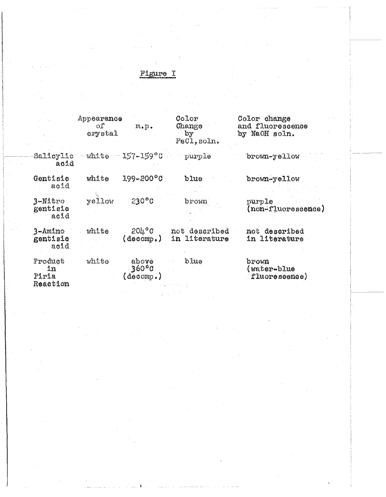# Figure I

 $\mathcal{O}(\frac{1}{2})$ 

|                                       | Appearance<br>оſ<br>crystal | $m_{\ast}p_{\ast}$                                   | Color<br>Change<br>by<br>FeCl, soln. | Color change<br>and fluorescence<br>by NaOH soln. |
|---------------------------------------|-----------------------------|------------------------------------------------------|--------------------------------------|---------------------------------------------------|
| Salicylic<br>acid                     |                             | $-$ white $-$ 157-159 $^{\circ}$ C                   | purple                               | brown-yellow                                      |
| Gentisic<br>acid                      | white                       | $199 - 200$ °C                                       | blue                                 | brown-yellow                                      |
| 3-Nitro<br>gentisic<br>acid           | yellow                      | $230°$ C                                             | brown                                | purple<br>(non-fluorescence)                      |
| 3-Amino<br>gentisic<br>acid           | white                       | $20\text{h}^{\circ}\text{C}$<br>$(\texttt{decomp.})$ | not described<br>in literature       | not described<br>in literature                    |
| Product<br>$-1n$<br>Piria<br>Reaction | white                       | above<br>360°0<br>(decomp.)                          | blue                                 | brown<br>water-blue<br>fluorescence)              |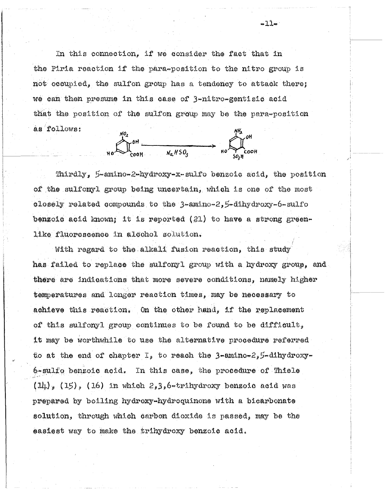In this connection, if we consider the fact that in the Piria reaction if the para-position to the nitro group is not occupied, the sulfon group has a tendency to attack there; we can then presume in this case of 3-nitro-gentisic acid that the position of the sulfon group may be the para-position as follows:

 $M_2$  or  $M_2$  or  $M_3$  or  $M_4$  or  $M_5$  or  $M_6$  or  $M_7$  or  $M_8$  or  $M_2$  or  $M_3$  or  $M_2$  or  $M_3$  or  $M_4$  or  $M_5$  or  $M_2$  or  $M_3$  or  $M_4$  or  $M_5$  or  $M_2$  or  $M_3$  or  $M_4$  or  $M_5$  or  $M_5$  or  $M_6$  or  $M_7$ 

Thirdly, 5-amino-2-hydroxy-x-sulfo benzoic acid, the position of the sulfonyl group being uncertain, which is one of the most closely related compounds to the 3-amino-2,5-dihydroxy-6-sulfo benzoic acid known; it is reported  $(21)$  to have a strong greenlike fluorescence in alcohol solution.

With regard to the alkali fusion reaction, this study has failed to replace the sulfonyl group with a hydroxy group, and there are indications that more severe conditions, namely higher temperatures and longer reaction times, may be necessary to achieve this reaction. On the other hand, if the replacement of this sulfonyl group continues to be found to be difficult, it may be worthwhile to use the alternative procedure referred to at the end of chapter  $I<sub>2</sub>$  to reach the 3-amino-2,5-dihydroxy-6-sulfo benzoic acid. In this case, the procedure of Thiele  $(14)$  (15), (16) in which 2,3,6-trihydroxy benzoic acid was prepared by boiling hydroxy-hydroquinone with a bicarbonate solution, through which carbon dioxide is passed, may be the easiest way to make the trihydroxy benzoic acid.

 $-11-$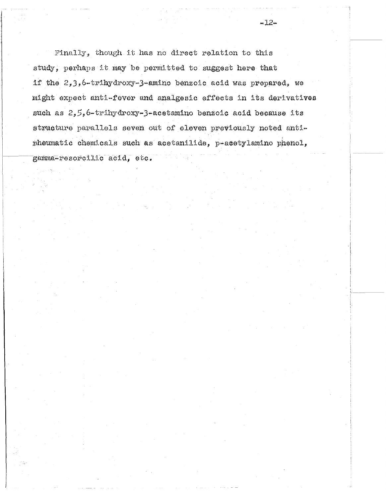Finally, though it has no direct relation to this study, perhaps it may be permitted to suggest here that if the 2,3,6-trihydroxy-3-amino benzoic acid was prepared, we might expect anti-fever and analgesic effects in its derivatives such as 2,5,6-trihydroxy-3-acetamino benzoic acid because its structure parallels seven out of eleven previously noted antinheumatic chemicals such as acetanilide, p-acetylamino phenol, gamma-resorcilic acid, etc.

 $-12-$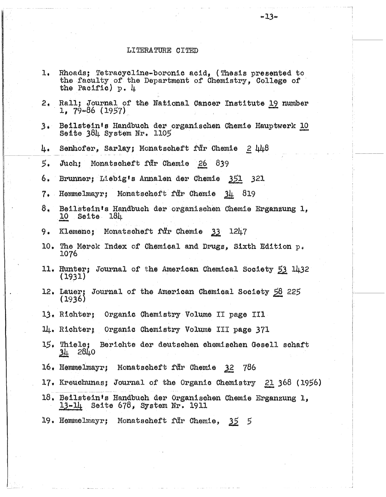### LITERATURE CITED

 $1.$ 

Rhoads; Tetracycline-boronic acid, (Thesis presented to the faculty of the Department of Chemistry, College of the Pacific)  $p. \ \mu$ 

| 2,             | Rall; Journal of the National Cancer Institute 19 number<br>$1, 79-86 (1957)$                      |
|----------------|----------------------------------------------------------------------------------------------------|
| 3.             | Beilstein's Handbuch der organischen Chemie Hauptwerk 10<br>Seite 384 System Nr. 1105              |
| 4.             | Senhofer, Sarlay; Monatscheft für Chemie<br>$2 \, 448$                                             |
| 5.             | Juch; Monatscheft für Chemie 26<br>839                                                             |
| 6.             | Brunner; Liebig's Annalen der Chemie 351 321                                                       |
| $7\star$       | Hemmelmayr; Monatscheft für Chemie<br>819<br>$-34$                                                 |
| 8 <sub>1</sub> | Beilstein's Handbuch der organischen Chemie Erganzung 1,<br>10 Seite 184                           |
| 9.             | Klemenc; Monatscheft für Chemie 33<br>124.7                                                        |
| $10^*$         | The Merck Index of Chemical and Drugs, Sixth Edition p.<br>1076                                    |
|                | 11. Hunter; Journal of the American Chemical Society 53 1432<br>(1931)                             |
|                | 12. Lauer; Journal of the American Chemical Society 58 225<br>(1936)                               |
|                | 13. Richter; Organic Chemistry Volume II page III                                                  |
|                | 14. Richter; Organic Chemistry Volume III page 371                                                 |
|                | $15.$ Thiele;<br>Berichte der deutschen chemischen Gesell schaft<br>28 <sub>40</sub><br><u>34</u>  |
|                | 16. Hemmelmayr; Monatscheft für Chemie<br>786<br>3 <sup>2</sup>                                    |
|                | 17. Kreuchunas; Journal of the Organic Chemistry 21 368 (1956)                                     |
|                | 18. Beilstein's Handbuch der Organischen Chemie Erganzung 1,<br>$13-14$ Seite 678, System Nr. 1911 |
|                | 19. Hemmelmayr; Monatscheft für Chemie, 35 5                                                       |
|                |                                                                                                    |
|                |                                                                                                    |
|                |                                                                                                    |